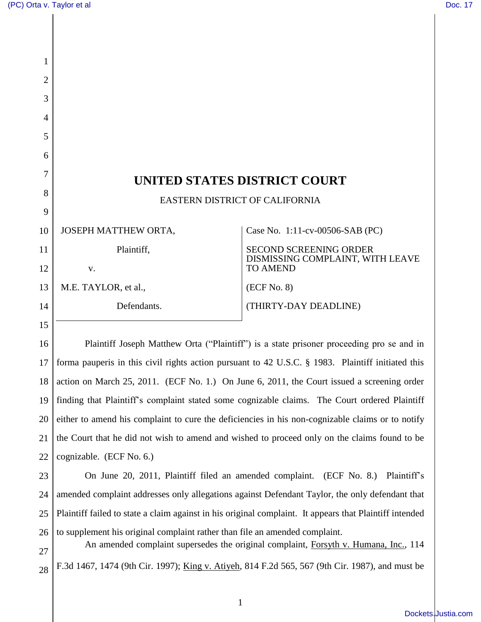28

| 1  |                                                                                                         |                                                     |
|----|---------------------------------------------------------------------------------------------------------|-----------------------------------------------------|
| 2  |                                                                                                         |                                                     |
| 3  |                                                                                                         |                                                     |
| 4  |                                                                                                         |                                                     |
| 5  |                                                                                                         |                                                     |
| 6  |                                                                                                         |                                                     |
| 7  |                                                                                                         |                                                     |
| 8  | UNITED STATES DISTRICT COURT                                                                            |                                                     |
| 9  | EASTERN DISTRICT OF CALIFORNIA                                                                          |                                                     |
| 10 | JOSEPH MATTHEW ORTA,                                                                                    | Case No. 1:11-cv-00506-SAB (PC)                     |
| 11 | Plaintiff,                                                                                              | <b>SECOND SCREENING ORDER</b>                       |
| 12 | v.                                                                                                      | DISMISSING COMPLAINT, WITH LEAVE<br><b>TO AMEND</b> |
| 13 | M.E. TAYLOR, et al.,                                                                                    | (ECF No. 8)                                         |
| 14 | Defendants.                                                                                             | (THIRTY-DAY DEADLINE)                               |
| 15 |                                                                                                         |                                                     |
| 16 | Plaintiff Joseph Matthew Orta ("Plaintiff") is a state prisoner proceeding pro se and in                |                                                     |
| 17 | forma pauperis in this civil rights action pursuant to 42 U.S.C. § 1983. Plaintiff initiated this       |                                                     |
| 18 | action on March 25, 2011. (ECF No. 1.) On June 6, 2011, the Court issued a screening order              |                                                     |
| 19 | finding that Plaintiff's complaint stated some cognizable claims. The Court ordered Plaintiff           |                                                     |
| 20 | either to amend his complaint to cure the deficiencies in his non-cognizable claims or to notify        |                                                     |
| 21 | the Court that he did not wish to amend and wished to proceed only on the claims found to be            |                                                     |
| 22 | cognizable. (ECF No. 6.)                                                                                |                                                     |
| 23 | On June 20, 2011, Plaintiff filed an amended complaint. (ECF No. 8.)<br>Plaintiff's                     |                                                     |
| 24 | amended complaint addresses only allegations against Defendant Taylor, the only defendant that          |                                                     |
| 25 | Plaintiff failed to state a claim against in his original complaint. It appears that Plaintiff intended |                                                     |
| 26 | to supplement his original complaint rather than file an amended complaint.                             |                                                     |
| 27 | An amended complaint supersedes the original complaint, Forsyth v. Humana, Inc., 114                    |                                                     |
| 28 | F.3d 1467, 1474 (9th Cir. 1997); King v. Atiyeh, 814 F.2d 565, 567 (9th Cir. 1987), and must be         |                                                     |

[Dockets.Justia.com](http://dockets.justia.com/)